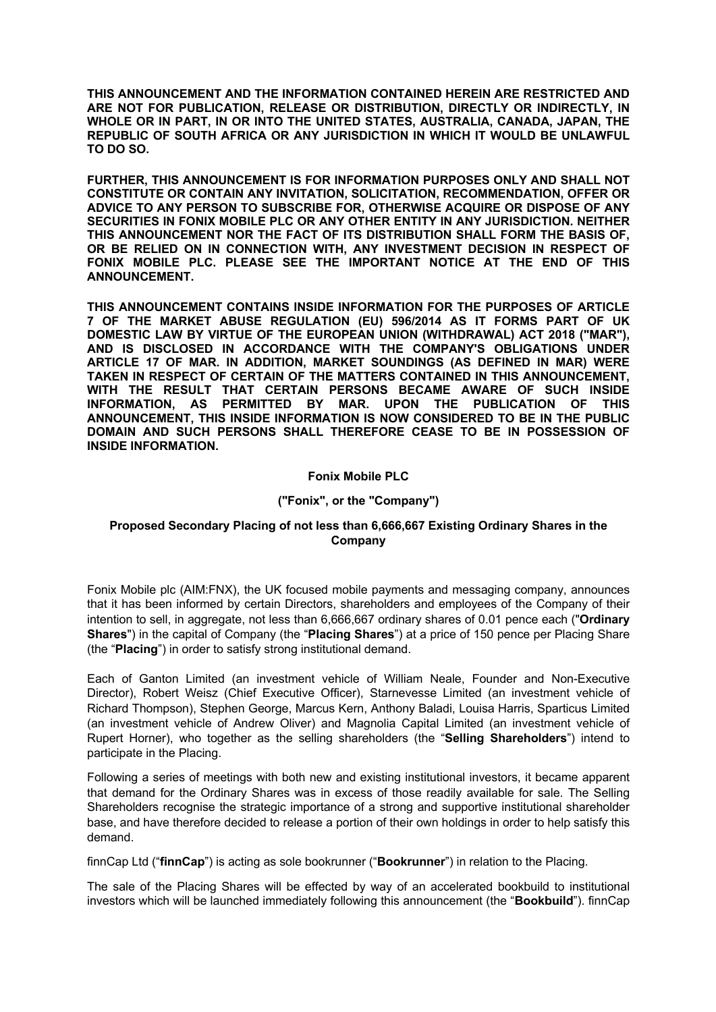**THIS ANNOUNCEMENT AND THE INFORMATION CONTAINED HEREIN ARE RESTRICTED AND ARE NOT FOR PUBLICATION, RELEASE OR DISTRIBUTION, DIRECTLY OR INDIRECTLY, IN WHOLE OR IN PART, IN OR INTO THE UNITED STATES, AUSTRALIA, CANADA, JAPAN, THE REPUBLIC OF SOUTH AFRICA OR ANY JURISDICTION IN WHICH IT WOULD BE UNLAWFUL TO DO SO.**

**FURTHER, THIS ANNOUNCEMENT IS FOR INFORMATION PURPOSES ONLY AND SHALL NOT CONSTITUTE OR CONTAIN ANY INVITATION, SOLICITATION, RECOMMENDATION, OFFER OR ADVICE TO ANY PERSON TO SUBSCRIBE FOR, OTHERWISE ACQUIRE OR DISPOSE OF ANY SECURITIES IN FONIX MOBILE PLC OR ANY OTHER ENTITY IN ANY JURISDICTION. NEITHER THIS ANNOUNCEMENT NOR THE FACT OF ITS DISTRIBUTION SHALL FORM THE BASIS OF, OR BE RELIED ON IN CONNECTION WITH, ANY INVESTMENT DECISION IN RESPECT OF FONIX MOBILE PLC. PLEASE SEE THE IMPORTANT NOTICE AT THE END OF THIS ANNOUNCEMENT.**

**THIS ANNOUNCEMENT CONTAINS INSIDE INFORMATION FOR THE PURPOSES OF ARTICLE 7 OF THE MARKET ABUSE REGULATION (EU) 596/2014 AS IT FORMS PART OF UK DOMESTIC LAW BY VIRTUE OF THE EUROPEAN UNION (WITHDRAWAL) ACT 2018 ("MAR"), AND IS DISCLOSED IN ACCORDANCE WITH THE COMPANY'S OBLIGATIONS UNDER ARTICLE 17 OF MAR. IN ADDITION, MARKET SOUNDINGS (AS DEFINED IN MAR) WERE TAKEN IN RESPECT OF CERTAIN OF THE MATTERS CONTAINED IN THIS ANNOUNCEMENT, WITH THE RESULT THAT CERTAIN PERSONS BECAME AWARE OF SUCH INSIDE INFORMATION, AS PERMITTED BY MAR. UPON THE PUBLICATION OF THIS ANNOUNCEMENT, THIS INSIDE INFORMATION IS NOW CONSIDERED TO BE IN THE PUBLIC DOMAIN AND SUCH PERSONS SHALL THEREFORE CEASE TO BE IN POSSESSION OF INSIDE INFORMATION.**

## **Fonix Mobile PLC**

# **("Fonix", or the "Company")**

# **Proposed Secondary Placing of not less than 6,666,667 Existing Ordinary Shares in the Company**

Fonix Mobile plc (AIM:FNX), the UK focused mobile payments and messaging company, announces that it has been informed by certain Directors, shareholders and employees of the Company of their intention to sell, in aggregate, not less than 6,666,667 ordinary shares of 0.01 pence each ("**Ordinary Shares**") in the capital of Company (the "**Placing Shares**") at a price of 150 pence per Placing Share (the "**Placing**") in order to satisfy strong institutional demand.

Each of Ganton Limited (an investment vehicle of William Neale, Founder and Non-Executive Director), Robert Weisz (Chief Executive Officer), Starnevesse Limited (an investment vehicle of Richard Thompson), Stephen George, Marcus Kern, Anthony Baladi, Louisa Harris, Sparticus Limited (an investment vehicle of Andrew Oliver) and Magnolia Capital Limited (an investment vehicle of Rupert Horner), who together as the selling shareholders (the "**Selling Shareholders**") intend to participate in the Placing.

Following a series of meetings with both new and existing institutional investors, it became apparent that demand for the Ordinary Shares was in excess of those readily available for sale. The Selling Shareholders recognise the strategic importance of a strong and supportive institutional shareholder base, and have therefore decided to release a portion of their own holdings in order to help satisfy this demand.

finnCap Ltd ("**finnCap**") is acting as sole bookrunner ("**Bookrunner**") in relation to the Placing.

The sale of the Placing Shares will be effected by way of an accelerated bookbuild to institutional investors which will be launched immediately following this announcement (the "**Bookbuild**"). finnCap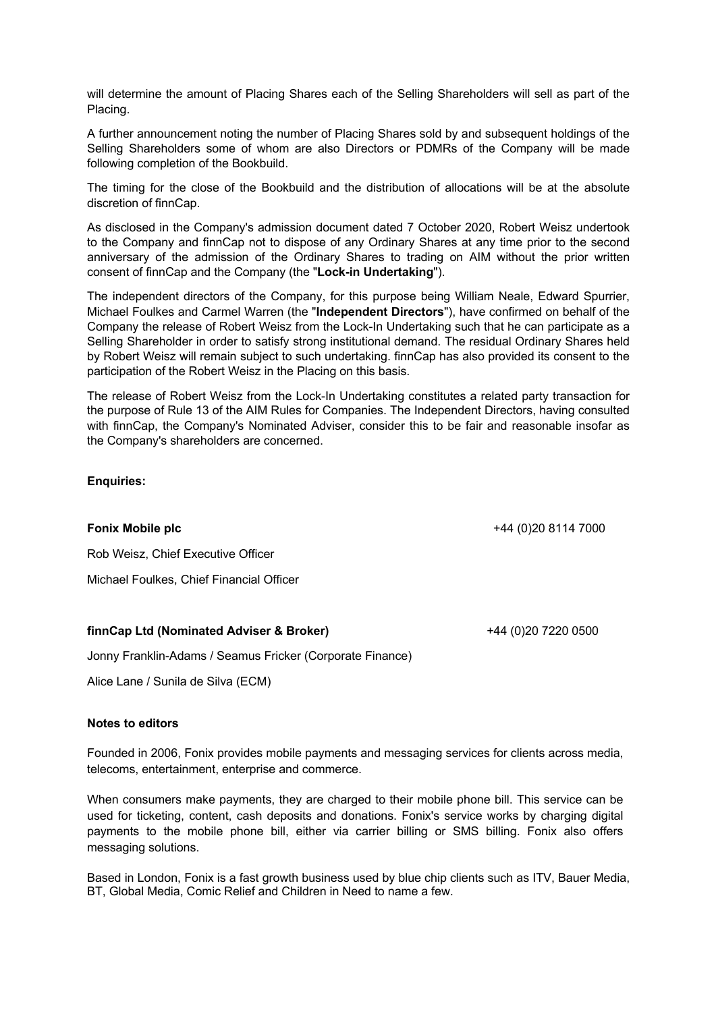will determine the amount of Placing Shares each of the Selling Shareholders will sell as part of the Placing.

A further announcement noting the number of Placing Shares sold by and subsequent holdings of the Selling Shareholders some of whom are also Directors or PDMRs of the Company will be made following completion of the Bookbuild.

The timing for the close of the Bookbuild and the distribution of allocations will be at the absolute discretion of finnCap.

As disclosed in the Company's admission document dated 7 October 2020, Robert Weisz undertook to the Company and finnCap not to dispose of any Ordinary Shares at any time prior to the second anniversary of the admission of the Ordinary Shares to trading on AIM without the prior written consent of finnCap and the Company (the "**Lock-in Undertaking**").

The independent directors of the Company, for this purpose being William Neale, Edward Spurrier, Michael Foulkes and Carmel Warren (the "**Independent Directors**"), have confirmed on behalf of the Company the release of Robert Weisz from the Lock-In Undertaking such that he can participate as a Selling Shareholder in order to satisfy strong institutional demand. The residual Ordinary Shares held by Robert Weisz will remain subject to such undertaking. finnCap has also provided its consent to the participation of the Robert Weisz in the Placing on this basis.

The release of Robert Weisz from the Lock-In Undertaking constitutes a related party transaction for the purpose of Rule 13 of the AIM Rules for Companies. The Independent Directors, having consulted with finnCap, the Company's Nominated Adviser, consider this to be fair and reasonable insofar as the Company's shareholders are concerned.

# **Enquiries:**

**Fonix Mobile plc** +44 (0)20 8114 7000

Rob Weisz, Chief Executive Officer

Michael Foulkes, Chief Financial Officer

## **finnCap Ltd (Nominated Adviser & Broker)** +44 (0)20 7220 0500

Jonny Franklin-Adams / Seamus Fricker (Corporate Finance)

Alice Lane / Sunila de Silva (ECM)

## **Notes to editors**

Founded in 2006, Fonix provides mobile payments and messaging services for clients across media, telecoms, entertainment, enterprise and commerce.

When consumers make payments, they are charged to their mobile phone bill. This service can be used for ticketing, content, cash deposits and donations. Fonix's service works by charging digital payments to the mobile phone bill, either via carrier billing or SMS billing. Fonix also offers messaging solutions.

Based in London, Fonix is a fast growth business used by blue chip clients such as ITV, Bauer Media, BT, Global Media, Comic Relief and Children in Need to name a few.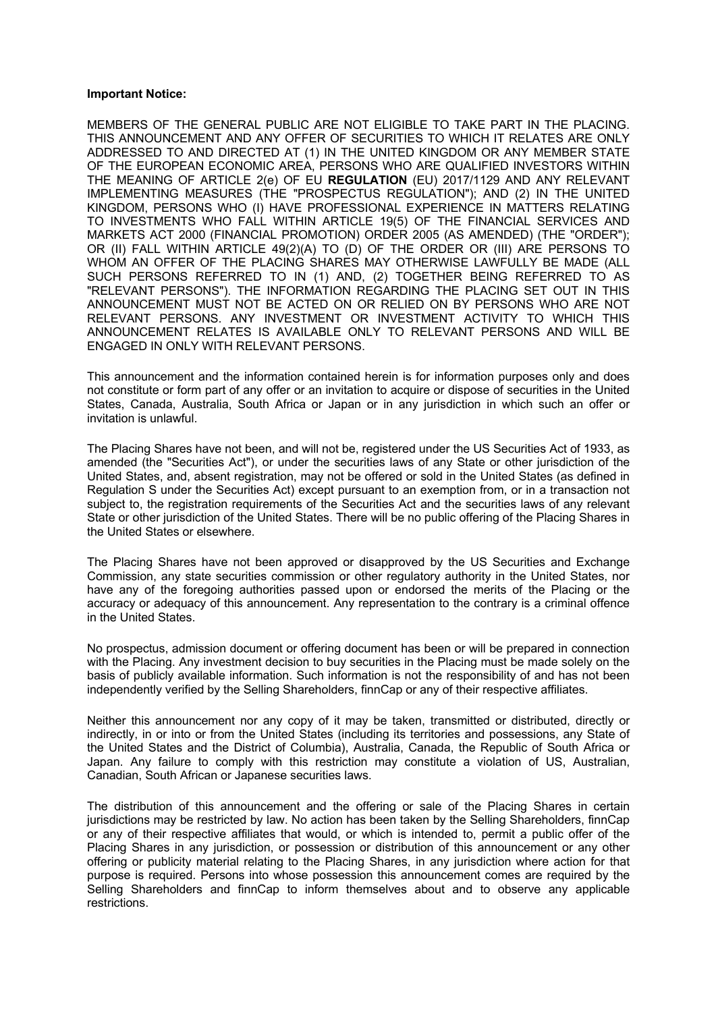### **Important Notice:**

MEMBERS OF THE GENERAL PUBLIC ARE NOT ELIGIBLE TO TAKE PART IN THE PLACING. THIS ANNOUNCEMENT AND ANY OFFER OF SECURITIES TO WHICH IT RELATES ARE ONLY ADDRESSED TO AND DIRECTED AT (1) IN THE UNITED KINGDOM OR ANY MEMBER STATE OF THE EUROPEAN ECONOMIC AREA, PERSONS WHO ARE QUALIFIED INVESTORS WITHIN THE MEANING OF ARTICLE 2(e) OF EU **REGULATION** (EU) 2017/1129 AND ANY RELEVANT IMPLEMENTING MEASURES (THE "PROSPECTUS REGULATION"); AND (2) IN THE UNITED KINGDOM, PERSONS WHO (I) HAVE PROFESSIONAL EXPERIENCE IN MATTERS RELATING TO INVESTMENTS WHO FALL WITHIN ARTICLE 19(5) OF THE FINANCIAL SERVICES AND MARKETS ACT 2000 (FINANCIAL PROMOTION) ORDER 2005 (AS AMENDED) (THE "ORDER"); OR (II) FALL WITHIN ARTICLE 49(2)(A) TO (D) OF THE ORDER OR (III) ARE PERSONS TO WHOM AN OFFER OF THE PLACING SHARES MAY OTHERWISE LAWFULLY BE MADE (ALL SUCH PERSONS REFERRED TO IN (1) AND, (2) TOGETHER BEING REFERRED TO AS "RELEVANT PERSONS"). THE INFORMATION REGARDING THE PLACING SET OUT IN THIS ANNOUNCEMENT MUST NOT BE ACTED ON OR RELIED ON BY PERSONS WHO ARE NOT RELEVANT PERSONS. ANY INVESTMENT OR INVESTMENT ACTIVITY TO WHICH THIS ANNOUNCEMENT RELATES IS AVAILABLE ONLY TO RELEVANT PERSONS AND WILL BE ENGAGED IN ONLY WITH RELEVANT PERSONS.

This announcement and the information contained herein is for information purposes only and does not constitute or form part of any offer or an invitation to acquire or dispose of securities in the United States, Canada, Australia, South Africa or Japan or in any jurisdiction in which such an offer or invitation is unlawful.

The Placing Shares have not been, and will not be, registered under the US Securities Act of 1933, as amended (the "Securities Act"), or under the securities laws of any State or other jurisdiction of the United States, and, absent registration, may not be offered or sold in the United States (as defined in Regulation S under the Securities Act) except pursuant to an exemption from, or in a transaction not subject to, the registration requirements of the Securities Act and the securities laws of any relevant State or other jurisdiction of the United States. There will be no public offering of the Placing Shares in the United States or elsewhere.

The Placing Shares have not been approved or disapproved by the US Securities and Exchange Commission, any state securities commission or other regulatory authority in the United States, nor have any of the foregoing authorities passed upon or endorsed the merits of the Placing or the accuracy or adequacy of this announcement. Any representation to the contrary is a criminal offence in the United States.

No prospectus, admission document or offering document has been or will be prepared in connection with the Placing. Any investment decision to buy securities in the Placing must be made solely on the basis of publicly available information. Such information is not the responsibility of and has not been independently verified by the Selling Shareholders, finnCap or any of their respective affiliates.

Neither this announcement nor any copy of it may be taken, transmitted or distributed, directly or indirectly, in or into or from the United States (including its territories and possessions, any State of the United States and the District of Columbia), Australia, Canada, the Republic of South Africa or Japan. Any failure to comply with this restriction may constitute a violation of US, Australian, Canadian, South African or Japanese securities laws.

The distribution of this announcement and the offering or sale of the Placing Shares in certain jurisdictions may be restricted by law. No action has been taken by the Selling Shareholders, finnCap or any of their respective affiliates that would, or which is intended to, permit a public offer of the Placing Shares in any jurisdiction, or possession or distribution of this announcement or any other offering or publicity material relating to the Placing Shares, in any jurisdiction where action for that purpose is required. Persons into whose possession this announcement comes are required by the Selling Shareholders and finnCap to inform themselves about and to observe any applicable restrictions.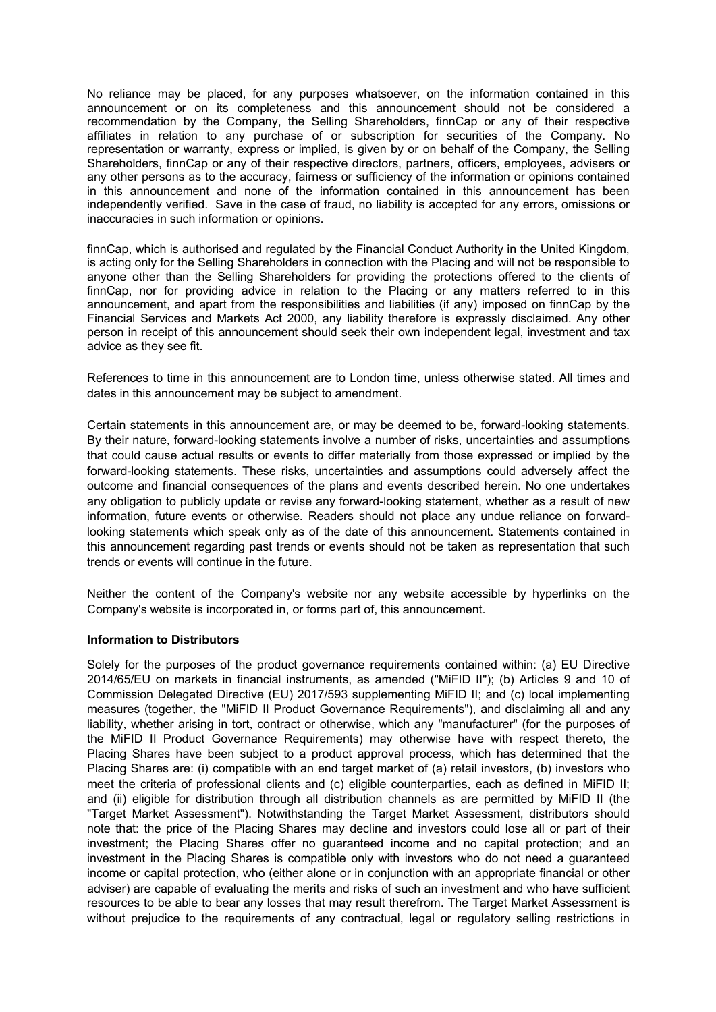No reliance may be placed, for any purposes whatsoever, on the information contained in this announcement or on its completeness and this announcement should not be considered a recommendation by the Company, the Selling Shareholders, finnCap or any of their respective affiliates in relation to any purchase of or subscription for securities of the Company. No representation or warranty, express or implied, is given by or on behalf of the Company, the Selling Shareholders, finnCap or any of their respective directors, partners, officers, employees, advisers or any other persons as to the accuracy, fairness or sufficiency of the information or opinions contained in this announcement and none of the information contained in this announcement has been independently verified. Save in the case of fraud, no liability is accepted for any errors, omissions or inaccuracies in such information or opinions.

finnCap, which is authorised and regulated by the Financial Conduct Authority in the United Kingdom, is acting only for the Selling Shareholders in connection with the Placing and will not be responsible to anyone other than the Selling Shareholders for providing the protections offered to the clients of finnCap, nor for providing advice in relation to the Placing or any matters referred to in this announcement, and apart from the responsibilities and liabilities (if any) imposed on finnCap by the Financial Services and Markets Act 2000, any liability therefore is expressly disclaimed. Any other person in receipt of this announcement should seek their own independent legal, investment and tax advice as they see fit.

References to time in this announcement are to London time, unless otherwise stated. All times and dates in this announcement may be subject to amendment.

Certain statements in this announcement are, or may be deemed to be, forward-looking statements. By their nature, forward-looking statements involve a number of risks, uncertainties and assumptions that could cause actual results or events to differ materially from those expressed or implied by the forward-looking statements. These risks, uncertainties and assumptions could adversely affect the outcome and financial consequences of the plans and events described herein. No one undertakes any obligation to publicly update or revise any forward-looking statement, whether as a result of new information, future events or otherwise. Readers should not place any undue reliance on forwardlooking statements which speak only as of the date of this announcement. Statements contained in this announcement regarding past trends or events should not be taken as representation that such trends or events will continue in the future.

Neither the content of the Company's website nor any website accessible by hyperlinks on the Company's website is incorporated in, or forms part of, this announcement.

## **Information to Distributors**

Solely for the purposes of the product governance requirements contained within: (a) EU Directive 2014/65/EU on markets in financial instruments, as amended ("MiFID II"); (b) Articles 9 and 10 of Commission Delegated Directive (EU) 2017/593 supplementing MiFID II; and (c) local implementing measures (together, the "MiFID II Product Governance Requirements"), and disclaiming all and any liability, whether arising in tort, contract or otherwise, which any "manufacturer" (for the purposes of the MiFID II Product Governance Requirements) may otherwise have with respect thereto, the Placing Shares have been subject to a product approval process, which has determined that the Placing Shares are: (i) compatible with an end target market of (a) retail investors, (b) investors who meet the criteria of professional clients and (c) eligible counterparties, each as defined in MiFID II; and (ii) eligible for distribution through all distribution channels as are permitted by MiFID II (the "Target Market Assessment"). Notwithstanding the Target Market Assessment, distributors should note that: the price of the Placing Shares may decline and investors could lose all or part of their investment; the Placing Shares offer no guaranteed income and no capital protection; and an investment in the Placing Shares is compatible only with investors who do not need a guaranteed income or capital protection, who (either alone or in conjunction with an appropriate financial or other adviser) are capable of evaluating the merits and risks of such an investment and who have sufficient resources to be able to bear any losses that may result therefrom. The Target Market Assessment is without prejudice to the requirements of any contractual, legal or requiatory selling restrictions in